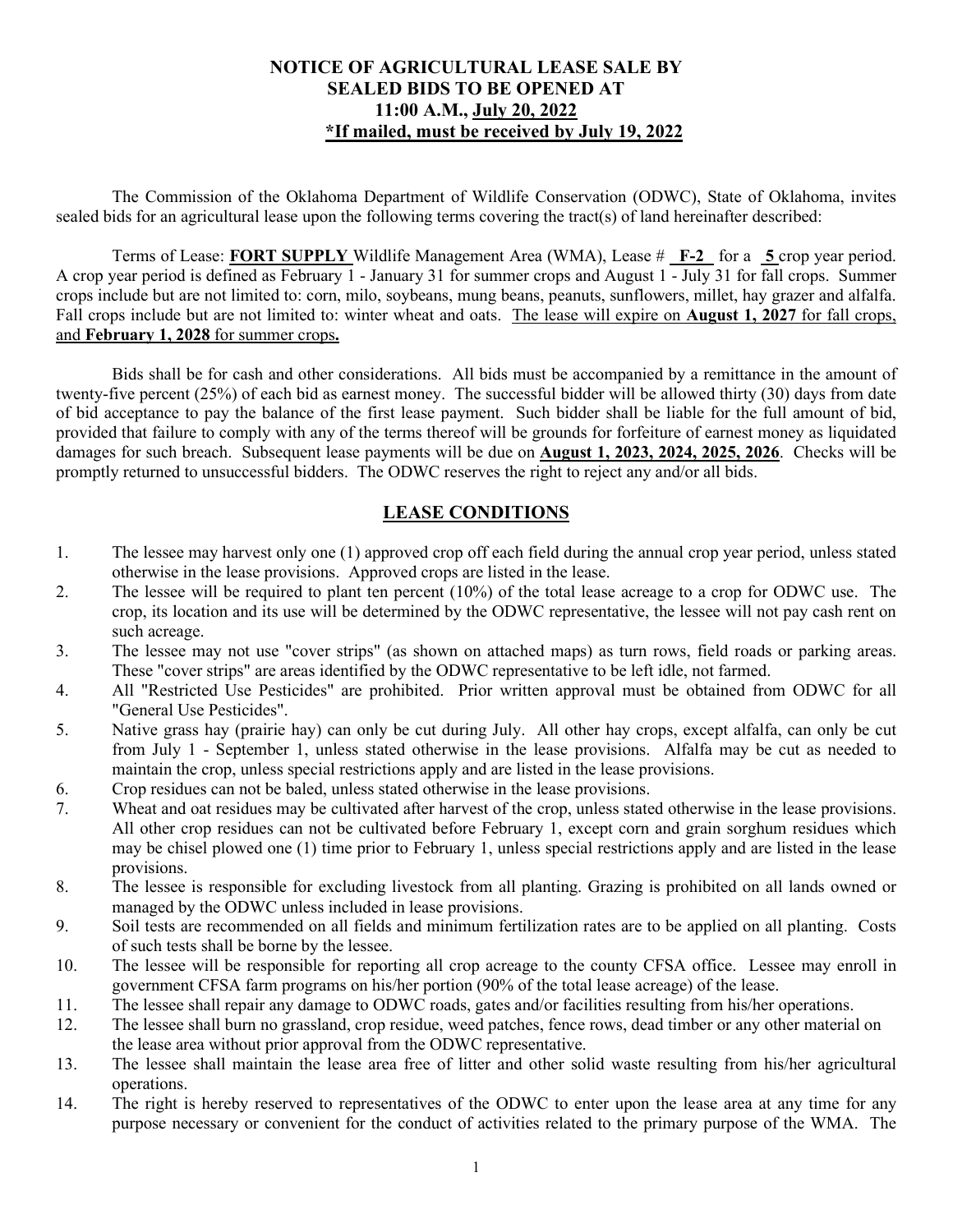#### **NOTICE OF AGRICULTURAL LEASE SALE BY SEALED BIDS TO BE OPENED AT 11:00 A.M., July 20, 2022 \*If mailed, must be received by July 19, 2022**

The Commission of the Oklahoma Department of Wildlife Conservation (ODWC), State of Oklahoma, invites sealed bids for an agricultural lease upon the following terms covering the tract(s) of land hereinafter described:

Terms of Lease: **FORT SUPPLY** Wildlife Management Area (WMA), Lease # **F-2** for a **5** crop year period. A crop year period is defined as February 1 - January 31 for summer crops and August 1 - July 31 for fall crops. Summer crops include but are not limited to: corn, milo, soybeans, mung beans, peanuts, sunflowers, millet, hay grazer and alfalfa. Fall crops include but are not limited to: winter wheat and oats. The lease will expire on **August 1, 2027** for fall crops, and **February 1, 2028** for summer crops**.**

Bids shall be for cash and other considerations. All bids must be accompanied by a remittance in the amount of twenty-five percent (25%) of each bid as earnest money. The successful bidder will be allowed thirty (30) days from date of bid acceptance to pay the balance of the first lease payment. Such bidder shall be liable for the full amount of bid, provided that failure to comply with any of the terms thereof will be grounds for forfeiture of earnest money as liquidated damages for such breach. Subsequent lease payments will be due on **August 1, 2023, 2024, 2025, 2026**. Checks will be promptly returned to unsuccessful bidders. The ODWC reserves the right to reject any and/or all bids.

### **LEASE CONDITIONS**

- 1. The lessee may harvest only one (1) approved crop off each field during the annual crop year period, unless stated otherwise in the lease provisions. Approved crops are listed in the lease.
- 2. The lessee will be required to plant ten percent (10%) of the total lease acreage to a crop for ODWC use. The crop, its location and its use will be determined by the ODWC representative, the lessee will not pay cash rent on such acreage.
- 3. The lessee may not use "cover strips" (as shown on attached maps) as turn rows, field roads or parking areas. These "cover strips" are areas identified by the ODWC representative to be left idle, not farmed.
- 4. All "Restricted Use Pesticides" are prohibited. Prior written approval must be obtained from ODWC for all "General Use Pesticides".
- 5. Native grass hay (prairie hay) can only be cut during July. All other hay crops, except alfalfa, can only be cut from July 1 - September 1, unless stated otherwise in the lease provisions. Alfalfa may be cut as needed to maintain the crop, unless special restrictions apply and are listed in the lease provisions.
- 6. Crop residues can not be baled, unless stated otherwise in the lease provisions.
- 7. Wheat and oat residues may be cultivated after harvest of the crop, unless stated otherwise in the lease provisions. All other crop residues can not be cultivated before February 1, except corn and grain sorghum residues which may be chisel plowed one (1) time prior to February 1, unless special restrictions apply and are listed in the lease provisions.
- 8. The lessee is responsible for excluding livestock from all planting. Grazing is prohibited on all lands owned or managed by the ODWC unless included in lease provisions.
- 9. Soil tests are recommended on all fields and minimum fertilization rates are to be applied on all planting. Costs of such tests shall be borne by the lessee.
- 10. The lessee will be responsible for reporting all crop acreage to the county CFSA office. Lessee may enroll in government CFSA farm programs on his/her portion (90% of the total lease acreage) of the lease.
- 11. The lessee shall repair any damage to ODWC roads, gates and/or facilities resulting from his/her operations.
- 12. The lessee shall burn no grassland, crop residue, weed patches, fence rows, dead timber or any other material on the lease area without prior approval from the ODWC representative.
- 13. The lessee shall maintain the lease area free of litter and other solid waste resulting from his/her agricultural operations.
- 14. The right is hereby reserved to representatives of the ODWC to enter upon the lease area at any time for any purpose necessary or convenient for the conduct of activities related to the primary purpose of the WMA. The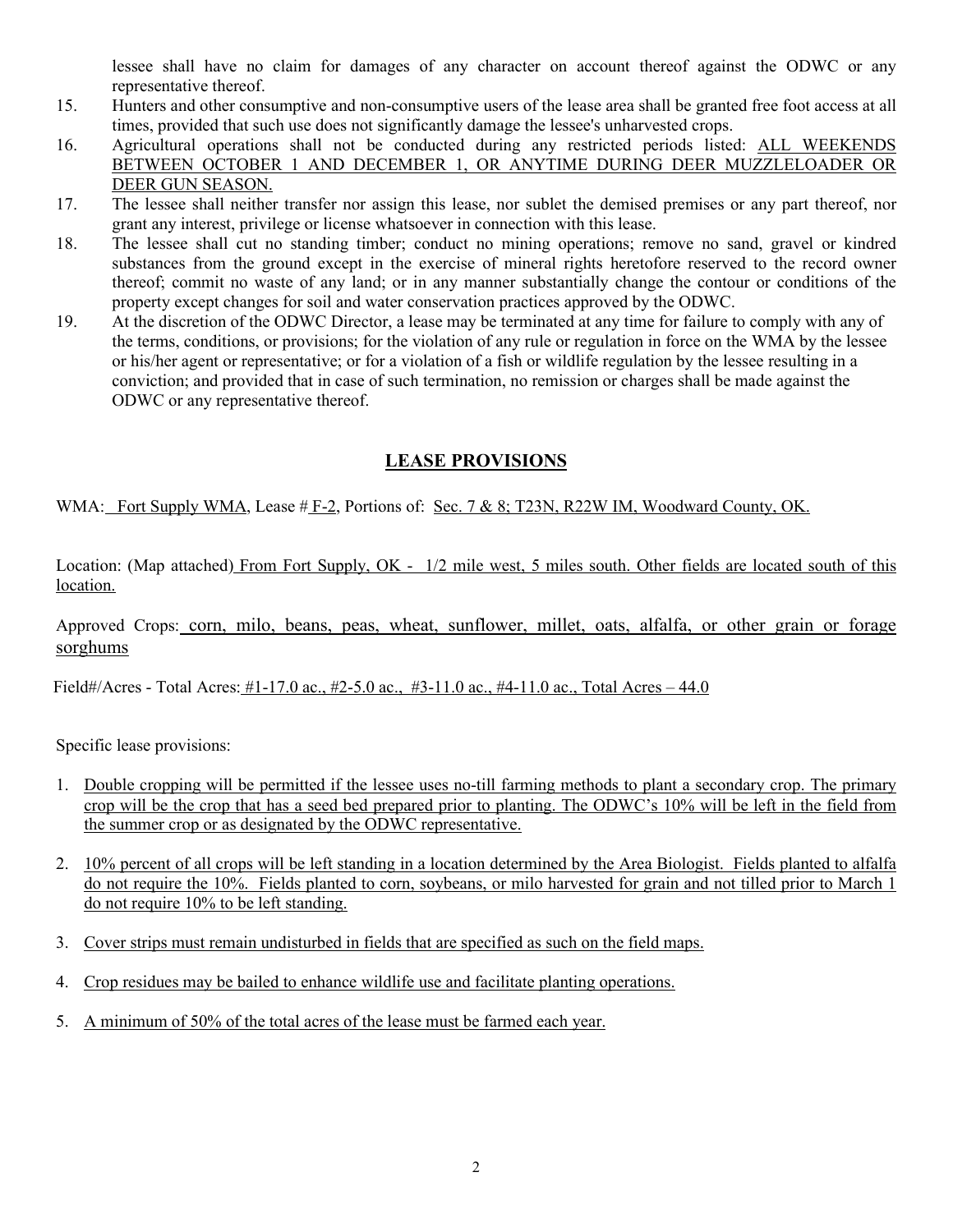lessee shall have no claim for damages of any character on account thereof against the ODWC or any representative thereof.

- 15. Hunters and other consumptive and non-consumptive users of the lease area shall be granted free foot access at all times, provided that such use does not significantly damage the lessee's unharvested crops.
- 16. Agricultural operations shall not be conducted during any restricted periods listed: ALL WEEKENDS BETWEEN OCTOBER 1 AND DECEMBER 1, OR ANYTIME DURING DEER MUZZLELOADER OR DEER GUN SEASON.
- 17. The lessee shall neither transfer nor assign this lease, nor sublet the demised premises or any part thereof, nor grant any interest, privilege or license whatsoever in connection with this lease.
- 18. The lessee shall cut no standing timber; conduct no mining operations; remove no sand, gravel or kindred substances from the ground except in the exercise of mineral rights heretofore reserved to the record owner thereof; commit no waste of any land; or in any manner substantially change the contour or conditions of the property except changes for soil and water conservation practices approved by the ODWC.
- 19. At the discretion of the ODWC Director, a lease may be terminated at any time for failure to comply with any of the terms, conditions, or provisions; for the violation of any rule or regulation in force on the WMA by the lessee or his/her agent or representative; or for a violation of a fish or wildlife regulation by the lessee resulting in a conviction; and provided that in case of such termination, no remission or charges shall be made against the ODWC or any representative thereof.

## **LEASE PROVISIONS**

WMA: Fort Supply WMA, Lease  $#F-2$ , Portions of: Sec. 7 & 8; T23N, R22W IM, Woodward County, OK.

Location: (Map attached) From Fort Supply, OK - 1/2 mile west, 5 miles south. Other fields are located south of this location.

Approved Crops: corn, milo, beans, peas, wheat, sunflower, millet, oats, alfalfa, or other grain or forage sorghums

Field#/Acres - Total Acres: #1-17.0 ac., #2-5.0 ac., #3-11.0 ac., #4-11.0 ac., Total Acres – 44.0

Specific lease provisions:

- 1. Double cropping will be permitted if the lessee uses no-till farming methods to plant a secondary crop. The primary crop will be the crop that has a seed bed prepared prior to planting. The ODWC's 10% will be left in the field from the summer crop or as designated by the ODWC representative.
- 2. 10% percent of all crops will be left standing in a location determined by the Area Biologist. Fields planted to alfalfa do not require the 10%. Fields planted to corn, soybeans, or milo harvested for grain and not tilled prior to March 1 do not require 10% to be left standing.
- 3. Cover strips must remain undisturbed in fields that are specified as such on the field maps.
- 4. Crop residues may be bailed to enhance wildlife use and facilitate planting operations.
- 5. A minimum of 50% of the total acres of the lease must be farmed each year.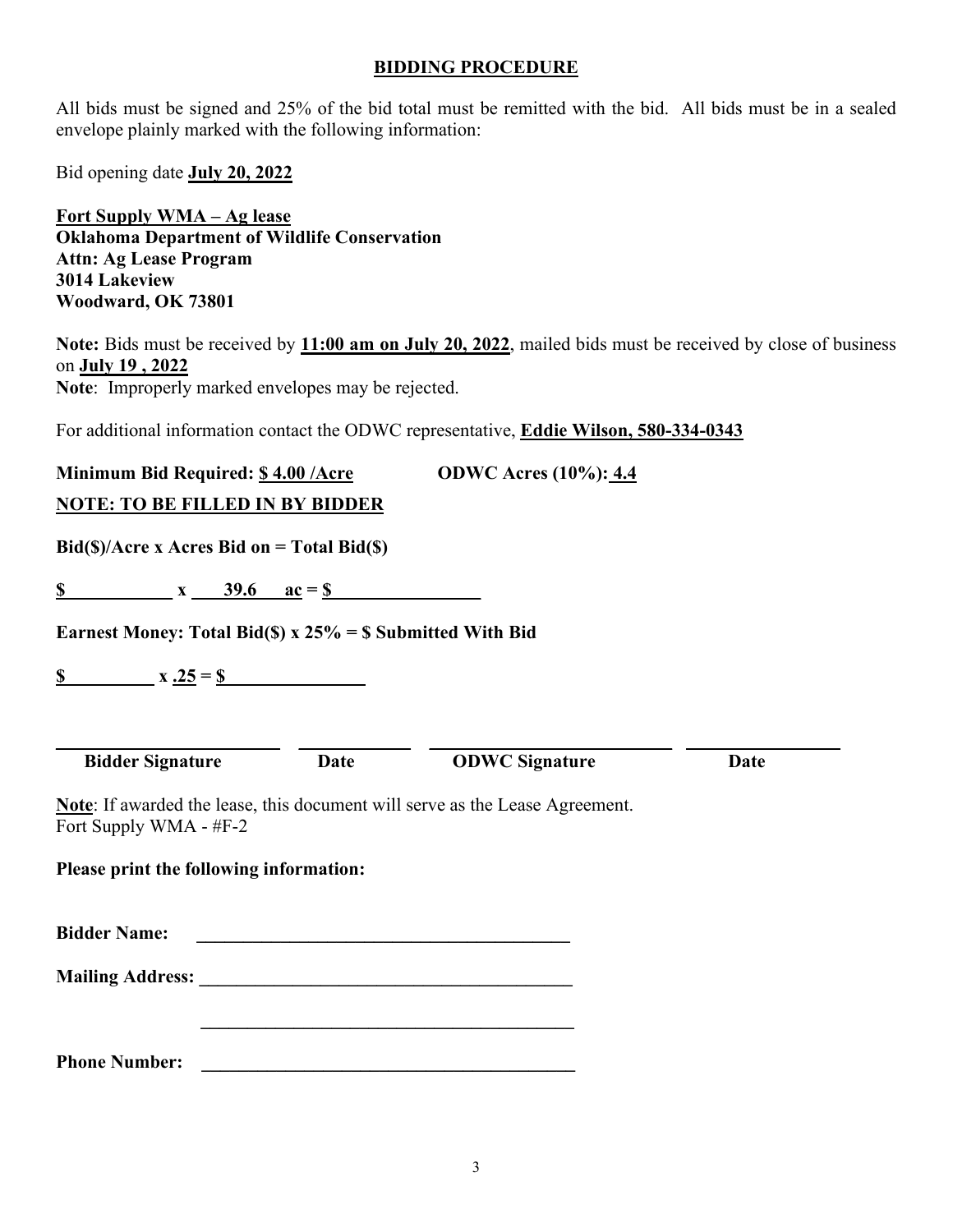#### **BIDDING PROCEDURE**

All bids must be signed and 25% of the bid total must be remitted with the bid. All bids must be in a sealed envelope plainly marked with the following information:

Bid opening date **July 20, 2022** 

**Fort Supply WMA – Ag lease Oklahoma Department of Wildlife Conservation Attn: Ag Lease Program 3014 Lakeview Woodward, OK 73801** 

**Note:** Bids must be received by **11:00 am on July 20, 2022**, mailed bids must be received by close of business on **July 19 , 2022 Note**: Improperly marked envelopes may be rejected.

For additional information contact the ODWC representative, **Eddie Wilson, 580-334-0343** 

**Minimum Bid Required: \$4.00 /Acre ODWC Acres (10%): 4.4** 

| <b>NOTE: TO BE FILLED IN BY BIDDER</b>                                                                        |             |                                                                                                                       |      |
|---------------------------------------------------------------------------------------------------------------|-------------|-----------------------------------------------------------------------------------------------------------------------|------|
| $Bid(\text{S})/ $ Acre x Acres Bid on = Total Bid(\\ \ S)                                                     |             |                                                                                                                       |      |
| \$<br>$x = 39.6$ $ac = 8$                                                                                     |             |                                                                                                                       |      |
| Earnest Money: Total Bid(\$) x $25\%$ = \$ Submitted With Bid                                                 |             |                                                                                                                       |      |
|                                                                                                               |             |                                                                                                                       |      |
|                                                                                                               |             |                                                                                                                       |      |
| <b>Bidder Signature</b>                                                                                       | <b>Date</b> | <b>ODWC Signature</b>                                                                                                 | Date |
| <b>Note:</b> If awarded the lease, this document will serve as the Lease Agreement.<br>Fort Supply WMA - #F-2 |             |                                                                                                                       |      |
| Please print the following information:                                                                       |             |                                                                                                                       |      |
| <b>Bidder Name:</b>                                                                                           |             | <u> 1989 - Johann Barbara, martin amerikan basal dan berasal dalam basal dalam basal dalam basal dalam basal dala</u> |      |
|                                                                                                               |             |                                                                                                                       |      |
|                                                                                                               |             |                                                                                                                       |      |
|                                                                                                               |             |                                                                                                                       |      |

**Phone Number:**